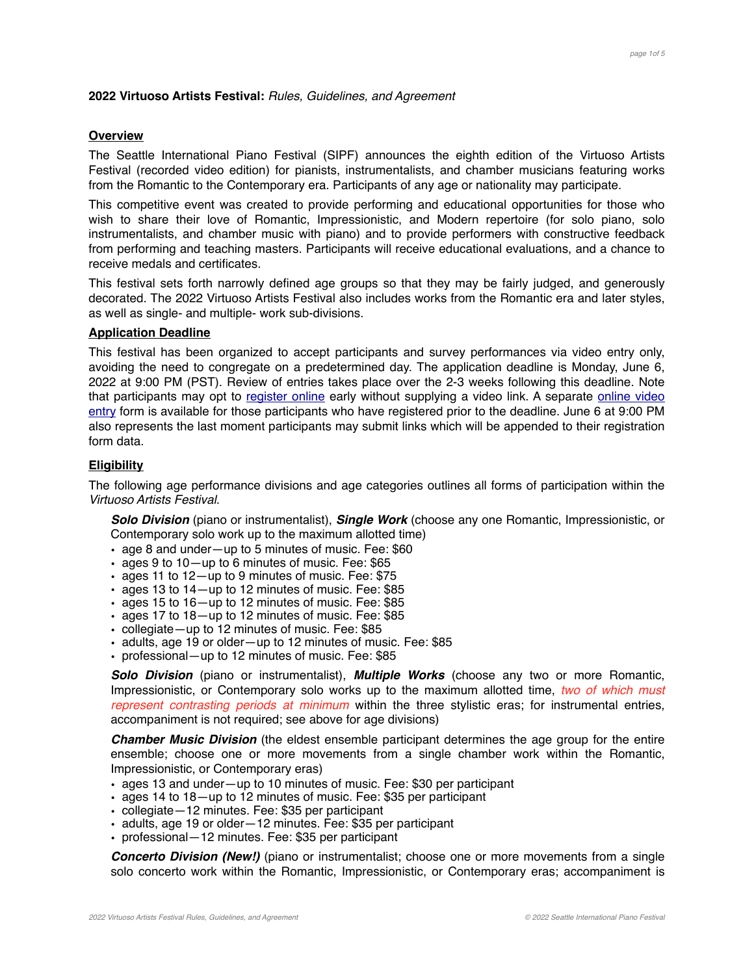## **2022 Virtuoso Artists Festival:** *Rules, Guidelines, and Agreement*

### **Overview**

The Seattle International Piano Festival (SIPF) announces the eighth edition of the Virtuoso Artists Festival (recorded video edition) for pianists, instrumentalists, and chamber musicians featuring works from the Romantic to the Contemporary era. Participants of any age or nationality may participate.

This competitive event was created to provide performing and educational opportunities for those who wish to share their love of Romantic, Impressionistic, and Modern repertoire (for solo piano, solo instrumentalists, and chamber music with piano) and to provide performers with constructive feedback from performing and teaching masters. Participants will receive educational evaluations, and a chance to receive medals and certificates.

This festival sets forth narrowly defined age groups so that they may be fairly judged, and generously decorated. The 2022 Virtuoso Artists Festival also includes works from the Romantic era and later styles, as well as single- and multiple- work sub-divisions.

# **Application Deadline**

This festival has been organized to accept participants and survey performances via video entry only, avoiding the need to congregate on a predetermined day. The application deadline is Monday, June 6, 2022 at 9:00 PM (PST). Review of entries takes place over the 2-3 weeks following this deadline. Note that participants may opt to [register online](https://www.seattlepianocompetition.org/nw-festivals/application/virtuoso-online-form/) early without supplying a video link. A separate [online video](https://www.seattlepianocompetition.org/2022-virtuoso-artists-festival-video-recording-submittal/) [entry](https://www.seattlepianocompetition.org/2022-virtuoso-artists-festival-video-recording-submittal/) form is available for those participants who have registered prior to the deadline. June 6 at 9:00 PM also represents the last moment participants may submit links which will be appended to their registration form data.

# **Eligibility**

The following age performance divisions and age categories outlines all forms of participation within the *Virtuoso Artists Festival*.

*Solo Division* (piano or instrumentalist), *Single Work* (choose any one Romantic, Impressionistic, or Contemporary solo work up to the maximum allotted time)

- age 8 and under—up to 5 minutes of music. Fee: \$60
- ages 9 to 10—up to 6 minutes of music. Fee: \$65
- ages 11 to 12—up to 9 minutes of music. Fee: \$75
- ages 13 to 14—up to 12 minutes of music. Fee: \$85
- ages 15 to 16—up to 12 minutes of music. Fee: \$85
- ages 17 to 18—up to 12 minutes of music. Fee: \$85
- collegiate—up to 12 minutes of music. Fee: \$85
- adults, age 19 or older—up to 12 minutes of music. Fee: \$85
- professional—up to 12 minutes of music. Fee: \$85

*Solo Division* (piano or instrumentalist), *Multiple Works* (choose any two or more Romantic, Impressionistic, or Contemporary solo works up to the maximum allotted time, *two of which must represent contrasting periods at minimum* within the three stylistic eras; for instrumental entries, accompaniment is not required; see above for age divisions)

*Chamber Music Division* (the eldest ensemble participant determines the age group for the entire ensemble; choose one or more movements from a single chamber work within the Romantic, Impressionistic, or Contemporary eras)

- ages 13 and under—up to 10 minutes of music. Fee: \$30 per participant
- ages 14 to 18—up to 12 minutes of music. Fee: \$35 per participant
- collegiate—12 minutes. Fee: \$35 per participant
- adults, age 19 or older—12 minutes. Fee: \$35 per participant
- professional—12 minutes. Fee: \$35 per participant

*Concerto Division (New!)* (piano or instrumentalist; choose one or more movements from a single solo concerto work within the Romantic, Impressionistic, or Contemporary eras; accompaniment is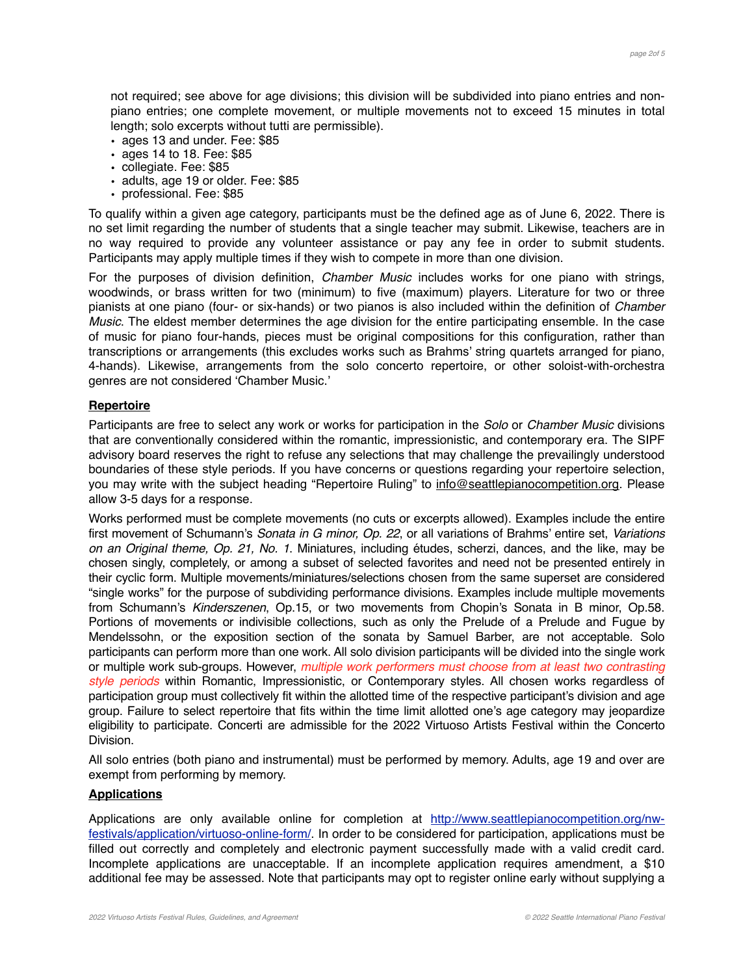not required; see above for age divisions; this division will be subdivided into piano entries and nonpiano entries; one complete movement, or multiple movements not to exceed 15 minutes in total length; solo excerpts without tutti are permissible).

- ages 13 and under. Fee: \$85
- ages 14 to 18. Fee: \$85
- collegiate. Fee: \$85
- adults, age 19 or older. Fee: \$85
- professional. Fee: \$85

To qualify within a given age category, participants must be the defined age as of June 6, 2022. There is no set limit regarding the number of students that a single teacher may submit. Likewise, teachers are in no way required to provide any volunteer assistance or pay any fee in order to submit students. Participants may apply multiple times if they wish to compete in more than one division.

For the purposes of division definition, *Chamber Music* includes works for one piano with strings, woodwinds, or brass written for two (minimum) to five (maximum) players. Literature for two or three pianists at one piano (four- or six-hands) or two pianos is also included within the definition of *Chamber Music*. The eldest member determines the age division for the entire participating ensemble. In the case of music for piano four-hands, pieces must be original compositions for this configuration, rather than transcriptions or arrangements (this excludes works such as Brahms' string quartets arranged for piano, 4-hands). Likewise, arrangements from the solo concerto repertoire, or other soloist-with-orchestra genres are not considered 'Chamber Music.'

# **Repertoire**

Participants are free to select any work or works for participation in the *Solo* or *Chamber Music* divisions that are conventionally considered within the romantic, impressionistic, and contemporary era. The SIPF advisory board reserves the right to refuse any selections that may challenge the prevailingly understood boundaries of these style periods. If you have concerns or questions regarding your repertoire selection, you may write with the subject heading "Repertoire Ruling" to info@seattlepianocompetition.org. Please allow 3-5 days for a response.

Works performed must be complete movements (no cuts or excerpts allowed). Examples include the entire first movement of Schumann's *Sonata in G minor, Op. 22*, or all variations of Brahms' entire set, *Variations on an Original theme, Op. 21, No. 1*. Miniatures, including études, scherzi, dances, and the like, may be chosen singly, completely, or among a subset of selected favorites and need not be presented entirely in their cyclic form. Multiple movements/miniatures/selections chosen from the same superset are considered "single works" for the purpose of subdividing performance divisions. Examples include multiple movements from Schumann's *Kinderszenen*, Op.15, or two movements from Chopin's Sonata in B minor, Op.58. Portions of movements or indivisible collections, such as only the Prelude of a Prelude and Fugue by Mendelssohn, or the exposition section of the sonata by Samuel Barber, are not acceptable. Solo participants can perform more than one work. All solo division participants will be divided into the single work or multiple work sub-groups. However, *multiple work performers must choose from at least two contrasting style periods* within Romantic, Impressionistic, or Contemporary styles. All chosen works regardless of participation group must collectively fit within the allotted time of the respective participant's division and age group. Failure to select repertoire that fits within the time limit allotted one's age category may jeopardize eligibility to participate. Concerti are admissible for the 2022 Virtuoso Artists Festival within the Concerto Division.

All solo entries (both piano and instrumental) must be performed by memory. Adults, age 19 and over are exempt from performing by memory.

## **Applications**

Applications are only available online for completion at [http://www.seattlepianocompetition.org/nw](http://www.seattlepianocompetition.org/nw-festivals/application/virtuoso-online-form/)[festivals/application/virtuoso-online-form/.](http://www.seattlepianocompetition.org/nw-festivals/application/virtuoso-online-form/) In order to be considered for participation, applications must be filled out correctly and completely and electronic payment successfully made with a valid credit card. Incomplete applications are unacceptable. If an incomplete application requires amendment, a \$10 additional fee may be assessed. Note that participants may opt to register online early without supplying a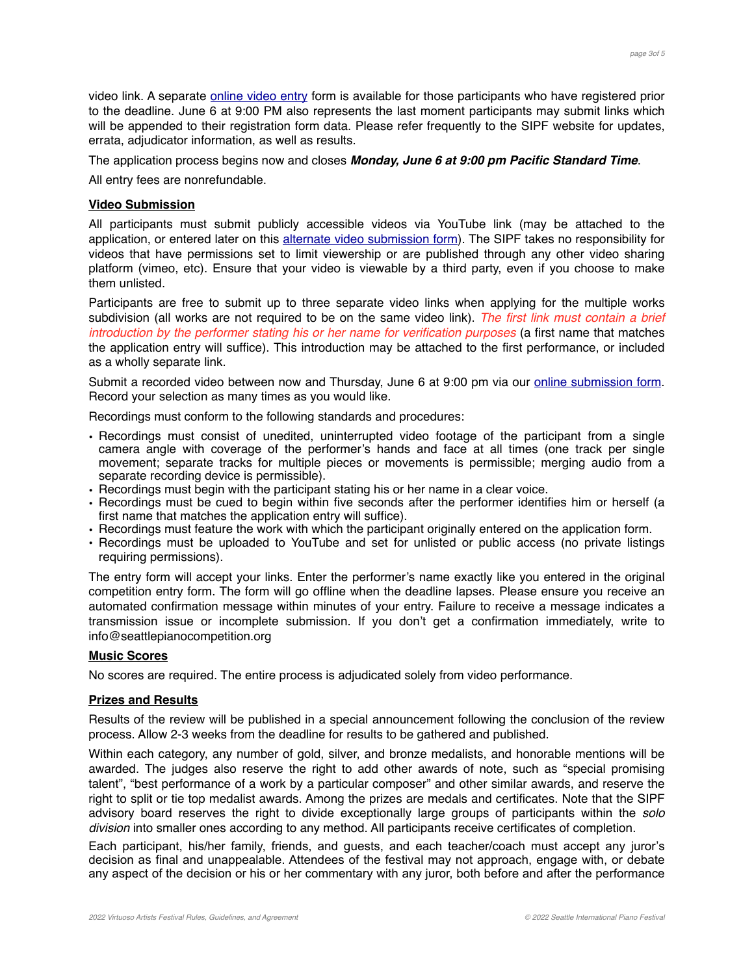video link. A separate [online video entry](https://www.seattlepianocompetition.org/2022-virtuoso-artists-festival-video-recording-submittal/) form is available for those participants who have registered prior to the deadline. June 6 at 9:00 PM also represents the last moment participants may submit links which will be appended to their registration form data. Please refer frequently to the SIPF website for updates, errata, adjudicator information, as well as results.

The application process begins now and closes *Monday, June 6 at 9:00 pm Pacific Standard Time*.

All entry fees are nonrefundable.

## **Video Submission**

All participants must submit publicly accessible videos via YouTube link (may be attached to the application, or entered later on this [alternate video submission form\)](https://www.seattlepianocompetition.org/2022-virtuoso-artists-festival-video-recording-submittal/). The SIPF takes no responsibility for videos that have permissions set to limit viewership or are published through any other video sharing platform (vimeo, etc). Ensure that your video is viewable by a third party, even if you choose to make them unlisted.

Participants are free to submit up to three separate video links when applying for the multiple works subdivision (all works are not required to be on the same video link). *The first link must contain a brief introduction by the performer stating his or her name for verification purposes* (a first name that matches the application entry will suffice). This introduction may be attached to the first performance, or included as a wholly separate link.

Submit a recorded video between now and Thursday, June 6 at 9:00 pm via our [online submission form](https://www.seattlepianocompetition.org/2022-virtuoso-artists-festival-video-recording-submittal/). Record your selection as many times as you would like.

Recordings must conform to the following standards and procedures:

- Recordings must consist of unedited, uninterrupted video footage of the participant from a single camera angle with coverage of the performer's hands and face at all times (one track per single movement; separate tracks for multiple pieces or movements is permissible; merging audio from a separate recording device is permissible).
- Recordings must begin with the participant stating his or her name in a clear voice.
- Recordings must be cued to begin within five seconds after the performer identifies him or herself (a first name that matches the application entry will suffice).
- Recordings must feature the work with which the participant originally entered on the application form.
- Recordings must be uploaded to YouTube and set for unlisted or public access (no private listings requiring permissions).

The entry form will accept your links. Enter the performer's name exactly like you entered in the original competition entry form. The form will go offline when the deadline lapses. Please ensure you receive an automated confirmation message within minutes of your entry. Failure to receive a message indicates a transmission issue or incomplete submission. If you don't get a confirmation immediately, write to info@seattlepianocompetition.org

## **Music Scores**

No scores are required. The entire process is adjudicated solely from video performance.

## **Prizes and Results**

Results of the review will be published in a special announcement following the conclusion of the review process. Allow 2-3 weeks from the deadline for results to be gathered and published.

Within each category, any number of gold, silver, and bronze medalists, and honorable mentions will be awarded. The judges also reserve the right to add other awards of note, such as "special promising talent", "best performance of a work by a particular composer" and other similar awards, and reserve the right to split or tie top medalist awards. Among the prizes are medals and certificates. Note that the SIPF advisory board reserves the right to divide exceptionally large groups of participants within the *solo division* into smaller ones according to any method. All participants receive certificates of completion.

Each participant, his/her family, friends, and guests, and each teacher/coach must accept any juror's decision as final and unappealable. Attendees of the festival may not approach, engage with, or debate any aspect of the decision or his or her commentary with any juror, both before and after the performance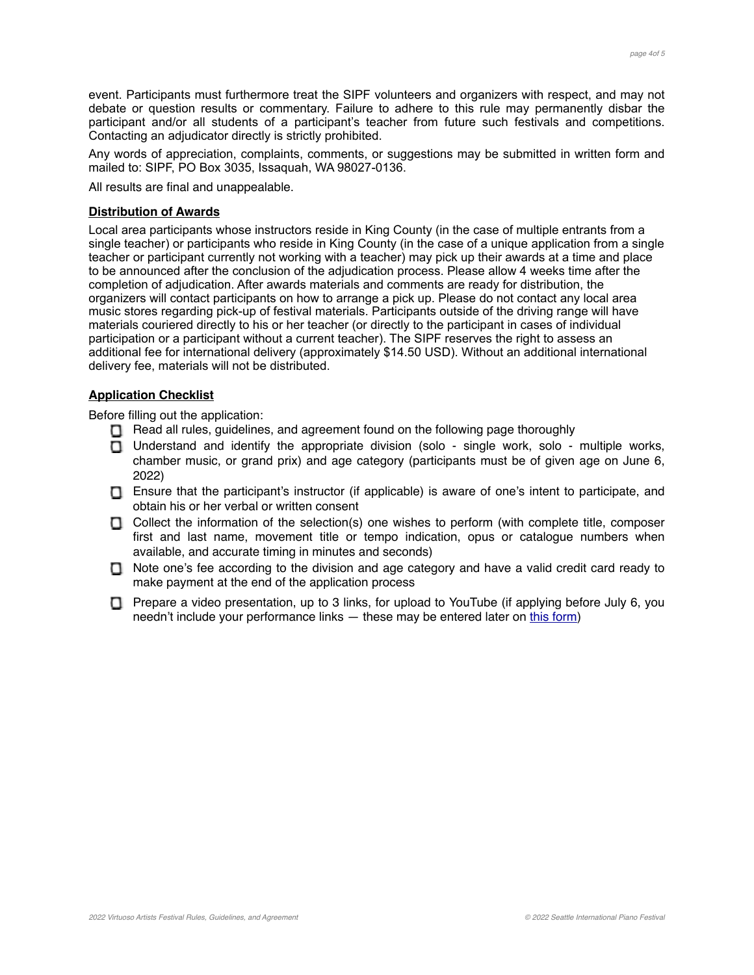event. Participants must furthermore treat the SIPF volunteers and organizers with respect, and may not debate or question results or commentary. Failure to adhere to this rule may permanently disbar the participant and/or all students of a participant's teacher from future such festivals and competitions. Contacting an adjudicator directly is strictly prohibited.

Any words of appreciation, complaints, comments, or suggestions may be submitted in written form and mailed to: SIPF, PO Box 3035, Issaquah, WA 98027-0136.

All results are final and unappealable.

# **Distribution of Awards**

Local area participants whose instructors reside in King County (in the case of multiple entrants from a single teacher) or participants who reside in King County (in the case of a unique application from a single teacher or participant currently not working with a teacher) may pick up their awards at a time and place to be announced after the conclusion of the adjudication process. Please allow 4 weeks time after the completion of adjudication. After awards materials and comments are ready for distribution, the organizers will contact participants on how to arrange a pick up. Please do not contact any local area music stores regarding pick-up of festival materials. Participants outside of the driving range will have materials couriered directly to his or her teacher (or directly to the participant in cases of individual participation or a participant without a current teacher). The SIPF reserves the right to assess an additional fee for international delivery (approximately \$14.50 USD). Without an additional international delivery fee, materials will not be distributed.

# **Application Checklist**

Before filling out the application:

- Read all rules, guidelines, and agreement found on the following page thoroughly
- □ Understand and identify the appropriate division (solo single work, solo multiple works, chamber music, or grand prix) and age category (participants must be of given age on June 6, 2022)
- Ensure that the participant's instructor (if applicable) is aware of one's intent to participate, and obtain his or her verbal or written consent
- $\Box$  Collect the information of the selection(s) one wishes to perform (with complete title, composer first and last name, movement title or tempo indication, opus or catalogue numbers when available, and accurate timing in minutes and seconds)
- Note one's fee according to the division and age category and have a valid credit card ready to make payment at the end of the application process
- Prepare a video presentation, up to 3 links, for upload to YouTube (if applying before July 6, you needn't include your performance links — these may be entered later on [this form\)](https://www.seattlepianocompetition.org/2022-virtuoso-artists-festival-video-recording-submittal/)